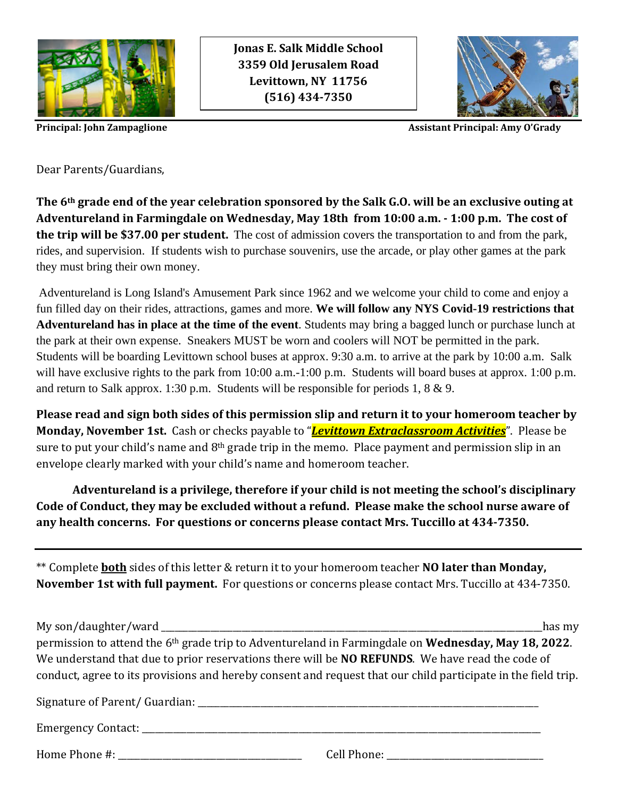

**Jonas E. Salk Middle School 3359 Old Jerusalem Road Levittown, NY 11756 (516) 434-7350**



**Principal: John Zampaglione** Assistant **Principal: Amy O'Grady** 

Dear Parents/Guardians,

**The 6th grade end of the year celebration sponsored by the Salk G.O. will be an exclusive outing at Adventureland in Farmingdale on Wednesday, May 18th from 10:00 a.m. - 1:00 p.m. The cost of the trip will be \$37.00 per student.** The cost of admission covers the transportation to and from the park, rides, and supervision. If students wish to purchase souvenirs, use the arcade, or play other games at the park they must bring their own money.

Adventureland is Long Island's Amusement Park since 1962 and we welcome your child to come and enjoy a fun filled day on their rides, attractions, games and more. **We will follow any NYS Covid-19 restrictions that Adventureland has in place at the time of the event**. Students may bring a bagged lunch or purchase lunch at the park at their own expense. Sneakers MUST be worn and coolers will NOT be permitted in the park. Students will be boarding Levittown school buses at approx. 9:30 a.m. to arrive at the park by 10:00 a.m. Salk will have exclusive rights to the park from 10:00 a.m.-1:00 p.m. Students will board buses at approx. 1:00 p.m. and return to Salk approx. 1:30 p.m. Students will be responsible for periods 1, 8 & 9.

**Please read and sign both sides of this permission slip and return it to your homeroom teacher by Monday, November 1st.** Cash or checks payable to "*Levittown Extraclassroom Activities*". Please be sure to put your child's name and 8<sup>th</sup> grade trip in the memo. Place payment and permission slip in an envelope clearly marked with your child's name and homeroom teacher.

**Adventureland is a privilege, therefore if your child is not meeting the school's disciplinary Code of Conduct, they may be excluded without a refund. Please make the school nurse aware of any health concerns. For questions or concerns please contact Mrs. Tuccillo at 434-7350.**

\*\* Complete **both** sides of this letter & return it to your homeroom teacher **NO later than Monday, November 1st with full payment.** For questions or concerns please contact Mrs. Tuccillo at 434-7350.

My son/daughter/ward has my permission to attend the 6th grade trip to Adventureland in Farmingdale on **Wednesday, May 18, 2022**. We understand that due to prior reservations there will be **NO REFUNDS**. We have read the code of conduct, agree to its provisions and hereby consent and request that our child participate in the field trip. Signature of Parent/ Guardian: \_\_\_\_\_\_\_\_\_\_\_\_\_\_\_\_\_\_\_\_\_\_\_\_\_\_\_\_\_\_\_\_\_\_\_\_\_\_\_\_\_\_\_\_\_\_\_\_\_\_\_\_\_\_\_\_\_\_\_\_\_\_\_\_\_\_\_\_\_\_\_\_\_\_\_\_ Emergency Contact:  $\Box$ 

Home Phone #:  $\Box$  Cell Phone:  $\Box$